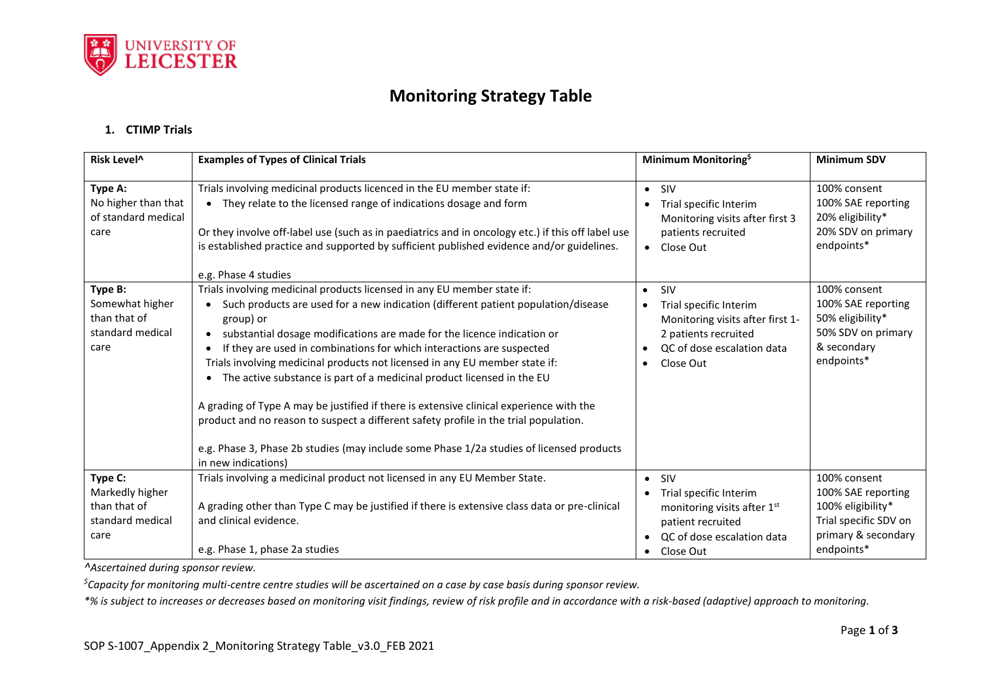

## **Monitoring Strategy Table**

## **1. CTIMP Trials**

| Risk Level <sup>^</sup>                                                | <b>Examples of Types of Clinical Trials</b>                                                                                                                                                                                                                                                                                                                                                                                                                                                                                                                                                                                                                                                                                                                                                               | Minimum Monitoring <sup>\$</sup>                                                                                                                               | <b>Minimum SDV</b>                                                                                                    |
|------------------------------------------------------------------------|-----------------------------------------------------------------------------------------------------------------------------------------------------------------------------------------------------------------------------------------------------------------------------------------------------------------------------------------------------------------------------------------------------------------------------------------------------------------------------------------------------------------------------------------------------------------------------------------------------------------------------------------------------------------------------------------------------------------------------------------------------------------------------------------------------------|----------------------------------------------------------------------------------------------------------------------------------------------------------------|-----------------------------------------------------------------------------------------------------------------------|
| Type A:<br>No higher than that<br>of standard medical<br>care          | Trials involving medicinal products licenced in the EU member state if:<br>• They relate to the licensed range of indications dosage and form<br>Or they involve off-label use (such as in paediatrics and in oncology etc.) if this off label use<br>is established practice and supported by sufficient published evidence and/or guidelines.<br>e.g. Phase 4 studies                                                                                                                                                                                                                                                                                                                                                                                                                                   | $\bullet$ SIV<br>Trial specific Interim<br>$\bullet$<br>Monitoring visits after first 3<br>patients recruited<br>• Close Out                                   | 100% consent<br>100% SAE reporting<br>20% eligibility*<br>20% SDV on primary<br>endpoints*                            |
| Type B:<br>Somewhat higher<br>than that of<br>standard medical<br>care | Trials involving medicinal products licensed in any EU member state if:<br>Such products are used for a new indication (different patient population/disease<br>group) or<br>substantial dosage modifications are made for the licence indication or<br>$\bullet$<br>If they are used in combinations for which interactions are suspected<br>Trials involving medicinal products not licensed in any EU member state if:<br>The active substance is part of a medicinal product licensed in the EU<br>A grading of Type A may be justified if there is extensive clinical experience with the<br>product and no reason to suspect a different safety profile in the trial population.<br>e.g. Phase 3, Phase 2b studies (may include some Phase 1/2a studies of licensed products<br>in new indications) | SIV<br>$\bullet$<br>Trial specific Interim<br>$\bullet$<br>Monitoring visits after first 1-<br>2 patients recruited<br>QC of dose escalation data<br>Close Out | 100% consent<br>100% SAE reporting<br>50% eligibility*<br>50% SDV on primary<br>& secondary<br>endpoints*             |
| Type C:<br>Markedly higher<br>than that of<br>standard medical<br>care | Trials involving a medicinal product not licensed in any EU Member State.<br>A grading other than Type C may be justified if there is extensive class data or pre-clinical<br>and clinical evidence.<br>e.g. Phase 1, phase 2a studies                                                                                                                                                                                                                                                                                                                                                                                                                                                                                                                                                                    | $\bullet$ SIV<br>Trial specific Interim<br>monitoring visits after 1st<br>patient recruited<br>QC of dose escalation data<br>• Close Out                       | 100% consent<br>100% SAE reporting<br>100% eligibility*<br>Trial specific SDV on<br>primary & secondary<br>endpoints* |

*^Ascertained during sponsor review.*

*\$Capacity for monitoring multi-centre centre studies will be ascertained on a case by case basis during sponsor review.* 

*\*% is subject to increases or decreases based on monitoring visit findings, review of risk profile and in accordance with a risk-based (adaptive) approach to monitoring.*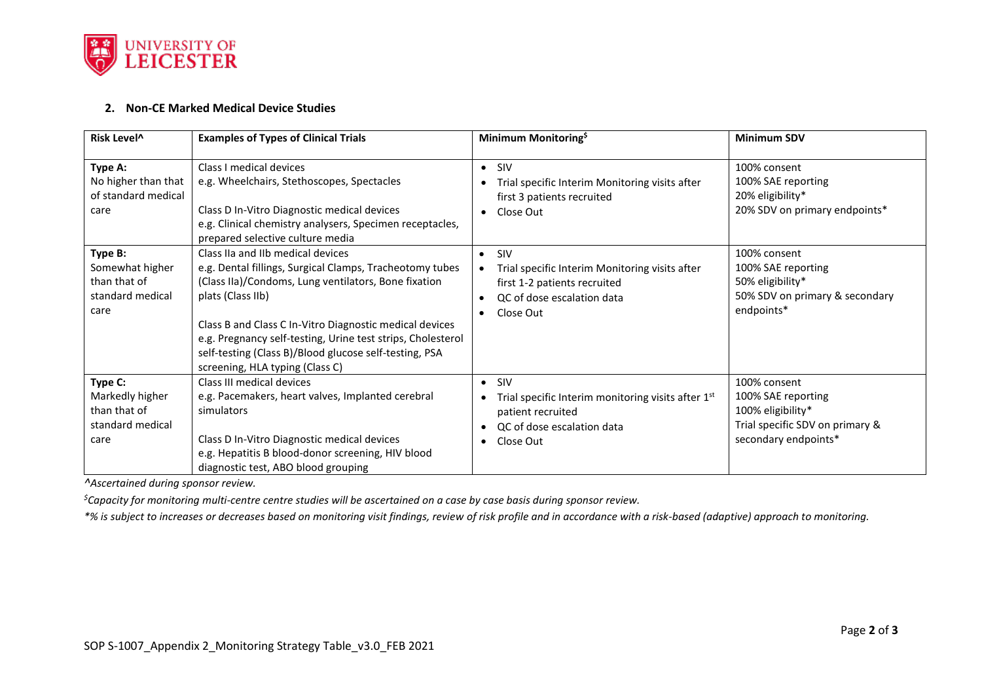

## **2. Non-CE Marked Medical Device Studies**

| Risk Level <sup>^</sup>                                                | <b>Examples of Types of Clinical Trials</b>                                                                                                                                                                                                                                                                                                                                                       | Minimum Monitoring <sup>\$</sup>                                                                                                                                                                 | <b>Minimum SDV</b>                                                                                                 |
|------------------------------------------------------------------------|---------------------------------------------------------------------------------------------------------------------------------------------------------------------------------------------------------------------------------------------------------------------------------------------------------------------------------------------------------------------------------------------------|--------------------------------------------------------------------------------------------------------------------------------------------------------------------------------------------------|--------------------------------------------------------------------------------------------------------------------|
| Type A:<br>No higher than that<br>of standard medical<br>care          | Class I medical devices<br>e.g. Wheelchairs, Stethoscopes, Spectacles<br>Class D In-Vitro Diagnostic medical devices<br>e.g. Clinical chemistry analysers, Specimen receptacles,<br>prepared selective culture media                                                                                                                                                                              | <b>SIV</b><br>$\bullet$<br>Trial specific Interim Monitoring visits after<br>first 3 patients recruited<br>Close Out<br>$\bullet$                                                                | 100% consent<br>100% SAE reporting<br>20% eligibility*<br>20% SDV on primary endpoints*                            |
| Type B:<br>Somewhat higher<br>than that of<br>standard medical<br>care | Class IIa and IIb medical devices<br>e.g. Dental fillings, Surgical Clamps, Tracheotomy tubes<br>(Class IIa)/Condoms, Lung ventilators, Bone fixation<br>plats (Class IIb)<br>Class B and Class C In-Vitro Diagnostic medical devices<br>e.g. Pregnancy self-testing, Urine test strips, Cholesterol<br>self-testing (Class B)/Blood glucose self-testing, PSA<br>screening, HLA typing (Class C) | SIV<br>$\bullet$<br>Trial specific Interim Monitoring visits after<br>$\bullet$<br>first 1-2 patients recruited<br>QC of dose escalation data<br>$\bullet$<br>Close Out<br>$\bullet$             | 100% consent<br>100% SAE reporting<br>50% eligibility*<br>50% SDV on primary & secondary<br>endpoints*             |
| Type C:<br>Markedly higher<br>than that of<br>standard medical<br>care | Class III medical devices<br>e.g. Pacemakers, heart valves, Implanted cerebral<br>simulators<br>Class D In-Vitro Diagnostic medical devices<br>e.g. Hepatitis B blood-donor screening, HIV blood<br>diagnostic test, ABO blood grouping                                                                                                                                                           | <b>SIV</b><br>$\bullet$<br>Trial specific Interim monitoring visits after 1 <sup>st</sup><br>$\bullet$<br>patient recruited<br>QC of dose escalation data<br>$\bullet$<br>Close Out<br>$\bullet$ | 100% consent<br>100% SAE reporting<br>100% eligibility*<br>Trial specific SDV on primary &<br>secondary endpoints* |

*^Ascertained during sponsor review.*

*\$Capacity for monitoring multi-centre centre studies will be ascertained on a case by case basis during sponsor review.* 

*\*% is subject to increases or decreases based on monitoring visit findings, review of risk profile and in accordance with a risk-based (adaptive) approach to monitoring.*